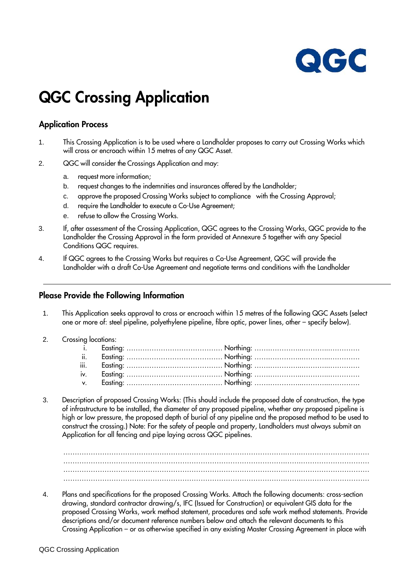

### **QGC Crossing Application**

#### **Application Process**

- 1. This Crossing Application is to be used where a Landholder proposes to carry out Crossing Works which will cross or encroach within 15 metres of any QGC Asset.
- 2. QGC will consider the Crossings Application and may:
	- a. request more information;
	- b. request changes to the indemnities and insurances offered by the Landholder;
	- c. approve the proposed Crossing Works subject to compliance with the Crossing Approval;
	- d. require the Landholder to execute a Co-Use Agreement;
	- e. refuse to allow the Crossing Works.
- 3. If, after assessment of the Crossing Application, QGC agrees to the Crossing Works, QGC provide to the Landholder the Crossing Approval in the form provided at Annexure 5 together with any Special Conditions QGC requires.
- 4. If QGC agrees to the Crossing Works but requires a Co-Use Agreement, QGC will provide the Landholder with a draft Co-Use Agreement and negotiate terms and conditions with the Landholder

#### **Please Provide the Following Information**

- 1. This Application seeks approval to cross or encroach within 15 metres of the following QGC Assets (select one or more of: steel pipeline, polyethylene pipeline, fibre optic, power lines, other – specify below).
- 2. Crossing locations:

3. Description of proposed Crossing Works: (This should include the proposed date of construction, the type of infrastructure to be installed, the diameter of any proposed pipeline, whether any proposed pipeline is high or low pressure, the proposed depth of burial of any pipeline and the proposed method to be used to construct the crossing.) Note: For the safety of people and property, Landholders must always submit an Application for all fencing and pipe laying across QGC pipelines.

…………………………………………………………………………………….…….………………………… …………………………………………………………………………………….…….…………………………

4. Plans and specifications for the proposed Crossing Works. Attach the following documents: cross-section drawing, standard contractor drawing/s, IFC (Issued for Construction) or equivalent GIS data for the proposed Crossing Works, work method statement, procedures and safe work method statements. Provide descriptions and/or document reference numbers below and attach the relevant documents to this Crossing Application – or as otherwise specified in any existing Master Crossing Agreement in place with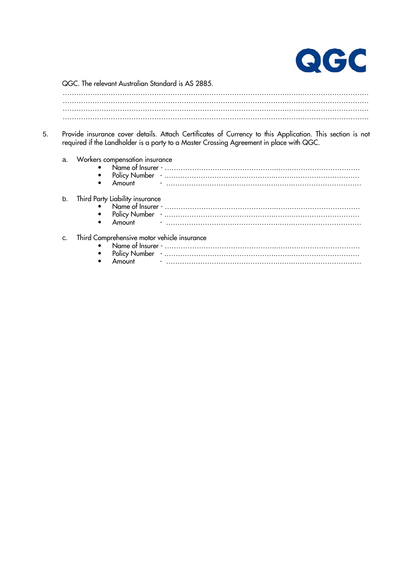

QGC. The relevant Australian Standard is AS 2885.

5. Provide insurance cover details. Attach Certificates of Currency to this Application. This section is not required if the Landholder is a party to a Master Crossing Agreement in place with QGC.

| ă. | Workers compensation insurance              |
|----|---------------------------------------------|
| b. |                                             |
| Ċ. | Third Comprehensive motor vehicle insurance |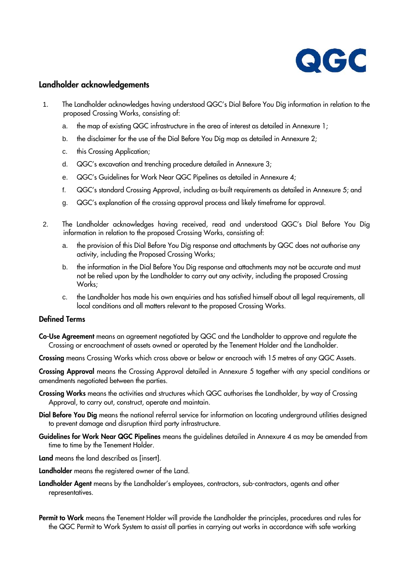

#### **Landholder acknowledgements**

- 1. The Landholder acknowledges having understood QGC's Dial Before You Dig information in relation to the proposed Crossing Works, consisting of:
	- a. the map of existing QGC infrastructure in the area of interest as detailed in Annexure 1;
	- b. the disclaimer for the use of the Dial Before You Dig map as detailed in Annexure 2;
	- c. this Crossing Application;
	- d. QGC's excavation and trenching procedure detailed in Annexure 3;
	- e. QGC's Guidelines for Work Near QGC Pipelines as detailed in Annexure 4;
	- f. QGC's standard Crossing Approval, including as-built requirements as detailed in Annexure 5; and
	- g. QGC's explanation of the crossing approval process and likely timeframe for approval.
- 2. The Landholder acknowledges having received, read and understood QGC's Dial Before You Dig information in relation to the proposed Crossing Works, consisting of:
	- a. the provision of this Dial Before You Dig response and attachments by QGC does not authorise any activity, including the Proposed Crossing Works;
	- b. the information in the Dial Before You Dig response and attachments may not be accurate and must not be relied upon by the Landholder to carry out any activity, including the proposed Crossing Works;
	- c. the Landholder has made his own enquiries and has satisfied himself about all legal requirements, all local conditions and all matters relevant to the proposed Crossing Works.

#### **Defined Terms**

**Co-Use Agreement** means an agreement negotiated by QGC and the Landholder to approve and regulate the Crossing or encroachment of assets owned or operated by the Tenement Holder and the Landholder.

**Crossing** means Crossing Works which cross above or below or encroach with 15 metres of any QGC Assets.

**Crossing Approval** means the Crossing Approval detailed in Annexure 5 together with any special conditions or amendments negotiated between the parties.

- **Crossing Works** means the activities and structures which QGC authorises the Landholder, by way of Crossing Approval, to carry out, construct, operate and maintain.
- **Dial Before You Dig** means the national referral service for information on locating underground utilities designed to prevent damage and disruption third party infrastructure.
- **Guidelines for Work Near QGC Pipelines** means the guidelines detailed in Annexure 4 as may be amended from time to time by the Tenement Holder.
- **Land** means the land described as [insert].
- **Landholder** means the registered owner of the Land.
- **Landholder Agent** means by the Landholder's employees, contractors, sub-contractors, agents and other representatives.

**Permit to Work** means the Tenement Holder will provide the Landholder the principles, procedures and rules for the QGC Permit to Work System to assist all parties in carrying out works in accordance with safe working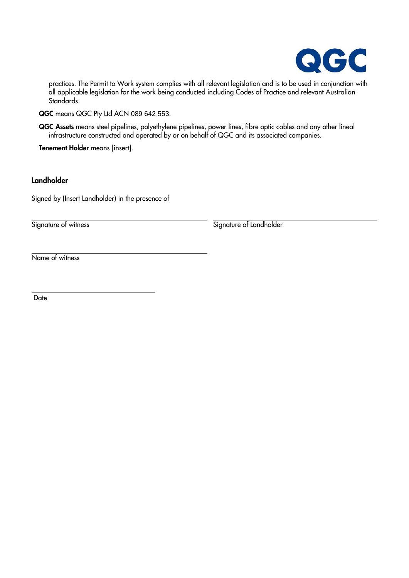

practices. The Permit to Work system complies with all relevant legislation and is to be used in conjunction with all applicable legislation for the work being conducted including Codes of Practice and relevant Australian Standards.

**QGC** means QGC Pty Ltd ACN 089 642 553.

**QGC Assets** means steel pipelines, polyethylene pipelines, power lines, fibre optic cables and any other lineal infrastructure constructed and operated by or on behalf of QGC and its associated companies.

**Tenement Holder** means [insert].

#### **Landholder**

Signed by (Insert Landholder) in the presence of

Signature of witness Signature of Landholder

Name of witness

**Date** 

 $\ddot{\phantom{a}}$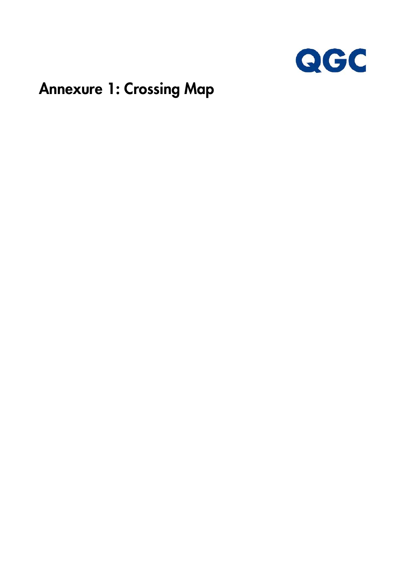

### **Annexure 1: Crossing Map**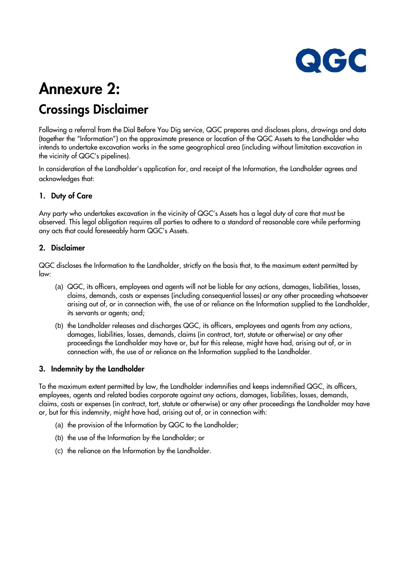

### **Annexure 2: Crossings Disclaimer**

Following a referral from the Dial Before You Dig service, QGC prepares and discloses plans, drawings and data (together the "Information") on the approximate presence or location of the QGC Assets to the Landholder who intends to undertake excavation works in the same geographical area (including without limitation excavation in the vicinity of QGC's pipelines).

In consideration of the Landholder's application for, and receipt of the Information, the Landholder agrees and acknowledges that:

#### **1. Duty of Care**

Any party who undertakes excavation in the vicinity of QGC's Assets has a legal duty of care that must be observed. This legal obligation requires all parties to adhere to a standard of reasonable care while performing any acts that could foreseeably harm QGC's Assets.

#### **2. Disclaimer**

QGC discloses the Information to the Landholder, strictly on the basis that, to the maximum extent permitted by law:

- (a) QGC, its officers, employees and agents will not be liable for any actions, damages, liabilities, losses, claims, demands, costs or expenses (including consequential losses) or any other proceeding whatsoever arising out of, or in connection with, the use of or reliance on the Information supplied to the Landholder, its servants or agents; and;
- (b) the Landholder releases and discharges QGC, its officers, employees and agents from any actions, damages, liabilities, losses, demands, claims (in contract, tort, statute or otherwise) or any other proceedings the Landholder may have or, but for this release, might have had, arising out of, or in connection with, the use of or reliance on the Information supplied to the Landholder.

#### **3. Indemnity by the Landholder**

To the maximum extent permitted by law, the Landholder indemnifies and keeps indemnified QGC, its officers, employees, agents and related bodies corporate against any actions, damages, liabilities, losses, demands, claims, costs or expenses (in contract, tort, statute or otherwise) or any other proceedings the Landholder may have or, but for this indemnity, might have had, arising out of, or in connection with:

- (a) the provision of the Information by QGC to the Landholder;
- (b) the use of the Information by the Landholder; or
- (c) the reliance on the Information by the Landholder.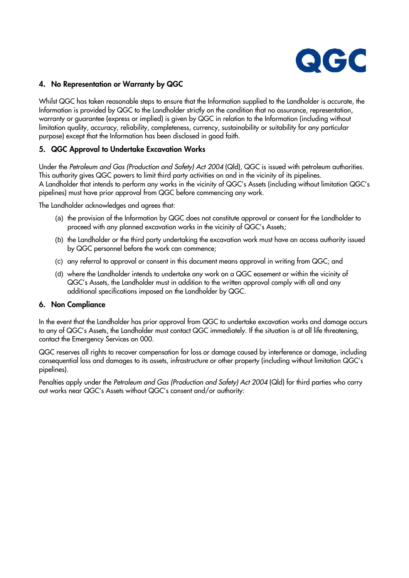

#### **4. No Representation or Warranty by QGC**

Whilst QGC has taken reasonable steps to ensure that the Information supplied to the Landholder is accurate, the Information is provided by QGC to the Landholder strictly on the condition that no assurance, representation, warranty or guarantee (express or implied) is given by QGC in relation to the Information (including without limitation quality, accuracy, reliability, completeness, currency, sustainability or suitability for any particular purpose) except that the Information has been disclosed in good faith.

#### **5. QGC Approval to Undertake Excavation Works**

Under the *Petroleum and Gas (Production and Safety) Act 2004* (Qld), QGC is issued with petroleum authorities. This authority gives QGC powers to limit third party activities on and in the vicinity of its pipelines. A Landholder that intends to perform any works in the vicinity of QGC's Assets (including without limitation QGC's pipelines) must have prior approval from QGC before commencing any work.

The Landholder acknowledges and agrees that:

- (a) the provision of the Information by QGC does not constitute approval or consent for the Landholder to proceed with any planned excavation works in the vicinity of QGC's Assets;
- (b) the Landholder or the third party undertaking the excavation work must have an access authority issued by QGC personnel before the work can commence;
- (c) any referral to approval or consent in this document means approval in writing from QGC; and
- (d) where the Landholder intends to undertake any work on a QGC easement or within the vicinity of QGC's Assets, the Landholder must in addition to the written approval comply with all and any additional specifications imposed on the Landholder by QGC.

#### **6. Non Compliance**

In the event that the Landholder has prior approval from QGC to undertake excavation works and damage occurs to any of QGC's Assets, the Landholder must contact QGC immediately. If the situation is at all life threatening, contact the Emergency Services on 000.

QGC reserves all rights to recover compensation for loss or damage caused by interference or damage, including consequential loss and damages to its assets, infrastructure or other property (including without limitation QGC's pipelines).

Penalties apply under the *Petroleum and Gas (Production and Safety) Act 2004* (Qld) for third parties who carry out works near QGC's Assets without QGC's consent and/or authority: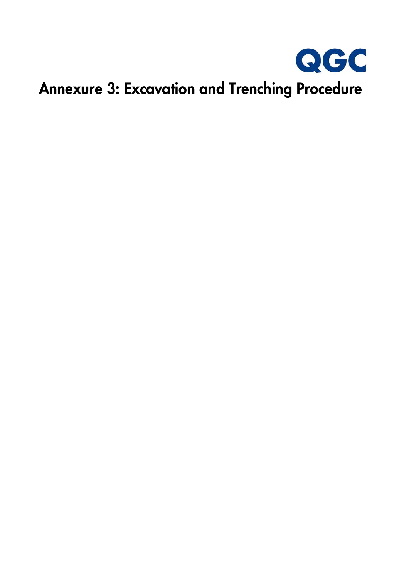

# **Annexure 3: Excavation and Trenching Procedure**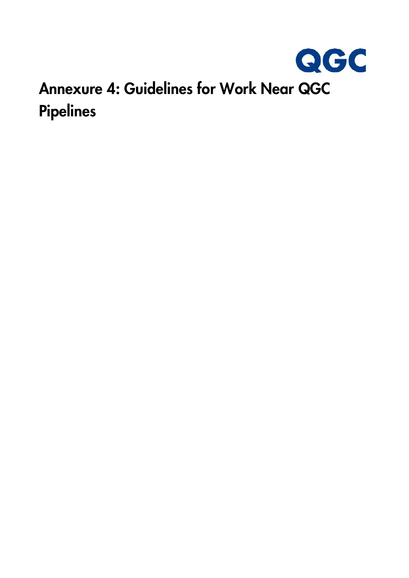

## **Annexure 4: Guidelines for Work Near QGC Pipelines**